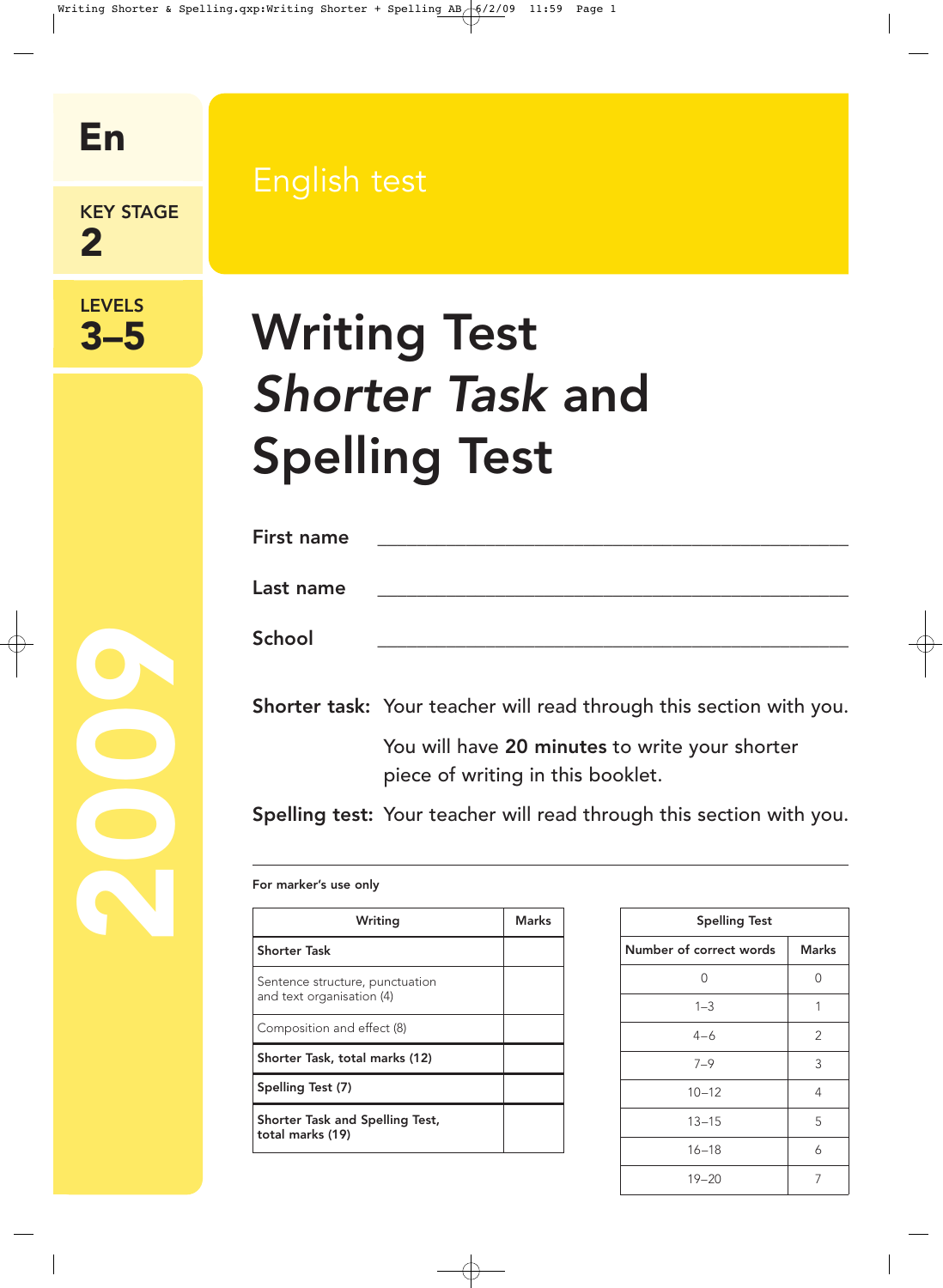En

*KEY STAGE* 2

#### *LEVELS* 3–5

2002<br>2002

# *Writing Test Shorter Task and Spelling Test*

English test

| <b>First name</b> |  |  |
|-------------------|--|--|
| Last name         |  |  |
| School            |  |  |

*Shorter task:* Your teacher will read through this section with you.

You will have *20 minutes* to write your shorter piece of writing in this booklet.

*Spelling test:* Your teacher will read through this section with you.

#### *For marker's use only*

| Writing                                                      | <b>Marks</b> |
|--------------------------------------------------------------|--------------|
| <b>Shorter Task</b>                                          |              |
| Sentence structure, punctuation<br>and text organisation (4) |              |
| Composition and effect (8)                                   |              |
| Shorter Task, total marks (12)                               |              |
| Spelling Test (7)                                            |              |
| <b>Shorter Task and Spelling Test,</b><br>total marks (19)   |              |

| <b>Spelling Test</b>    |                |  |  |  |
|-------------------------|----------------|--|--|--|
| Number of correct words | <b>Marks</b>   |  |  |  |
| 0                       | 0              |  |  |  |
| $1 - 3$                 | 1              |  |  |  |
| $4 - 6$                 | $\overline{2}$ |  |  |  |
| $7 - 9$                 | 3              |  |  |  |
| $10 - 12$               | 4              |  |  |  |
| $13 - 15$               | 5              |  |  |  |
| $16 - 18$               | 6              |  |  |  |
| $19 - 20$               | 7              |  |  |  |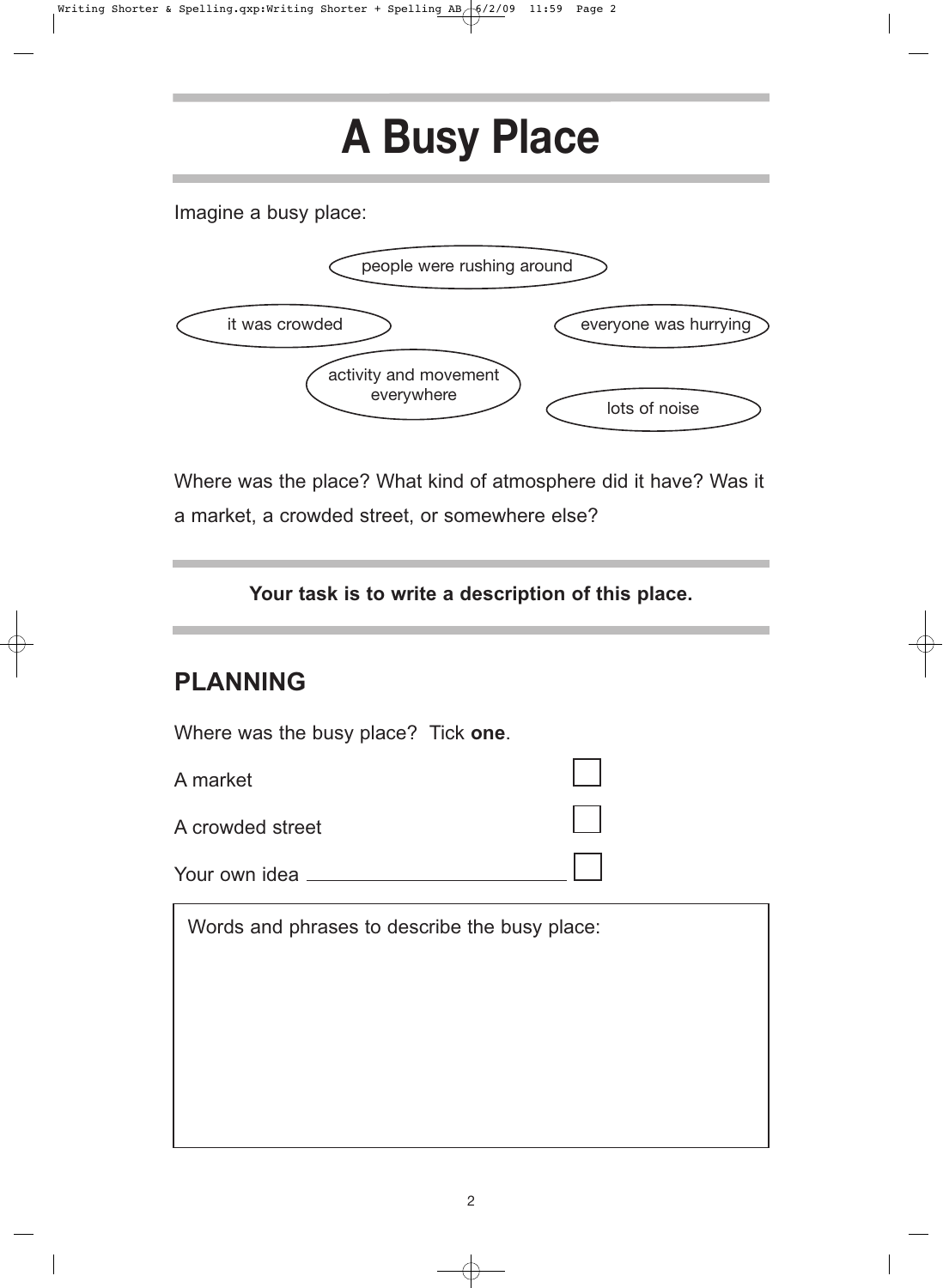## **A Busy Place**

Imagine a busy place:



Where was the place? What kind of atmosphere did it have? Was it a market, a crowded street, or somewhere else?

**Your task is to write a description of this place.** 

### **PLANNING**

| Where was the busy place? Tick one.           |  |
|-----------------------------------------------|--|
| A market                                      |  |
| A crowded street                              |  |
| Your own idea                                 |  |
| Words and phrases to describe the busy place: |  |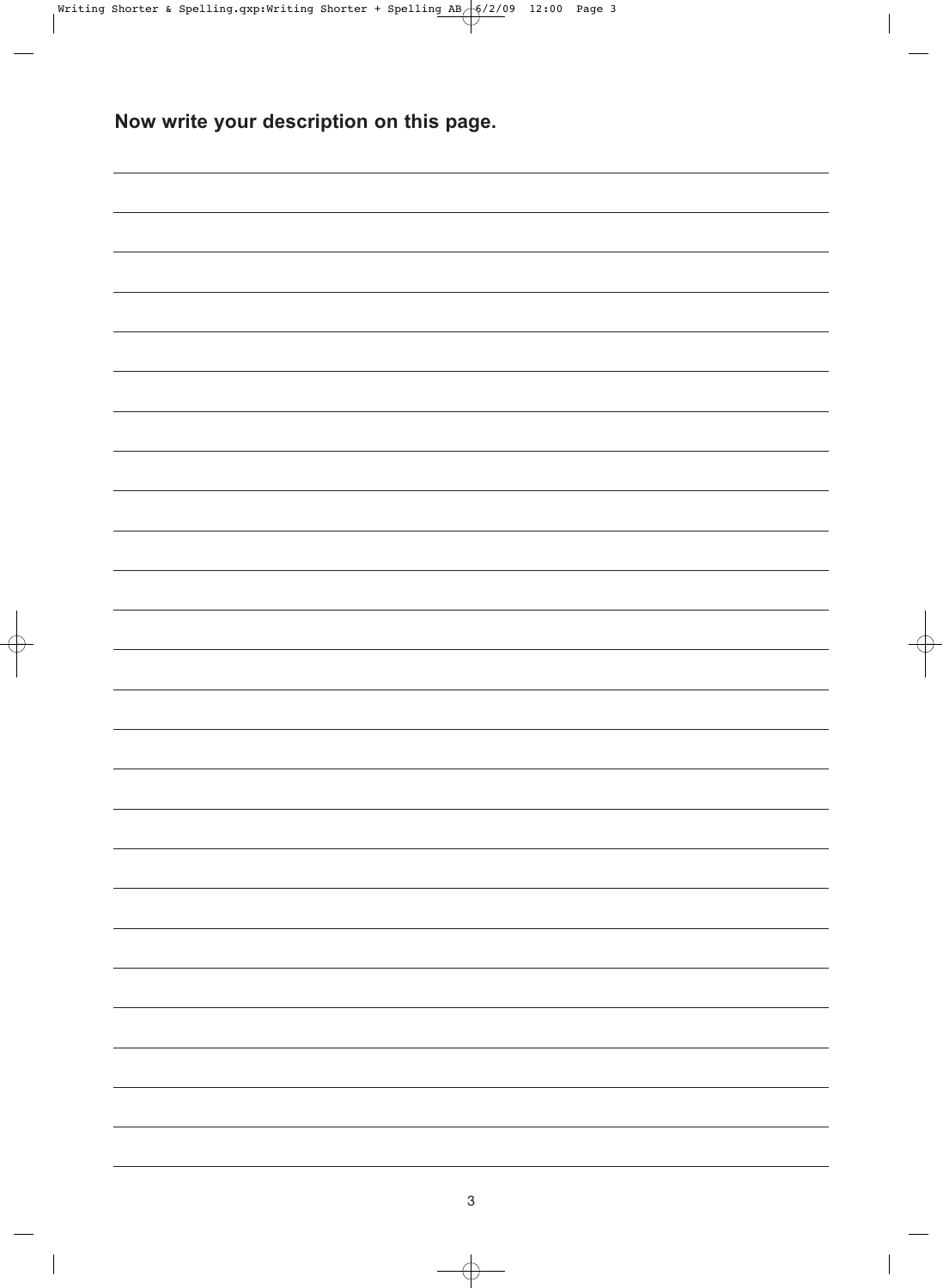| Now write your description on this page. |  |  |
|------------------------------------------|--|--|
|                                          |  |  |
|                                          |  |  |
|                                          |  |  |
|                                          |  |  |
|                                          |  |  |
|                                          |  |  |
|                                          |  |  |
|                                          |  |  |
|                                          |  |  |
|                                          |  |  |
|                                          |  |  |
|                                          |  |  |
|                                          |  |  |
|                                          |  |  |
|                                          |  |  |
|                                          |  |  |
|                                          |  |  |
|                                          |  |  |
|                                          |  |  |
|                                          |  |  |
|                                          |  |  |
|                                          |  |  |
|                                          |  |  |
|                                          |  |  |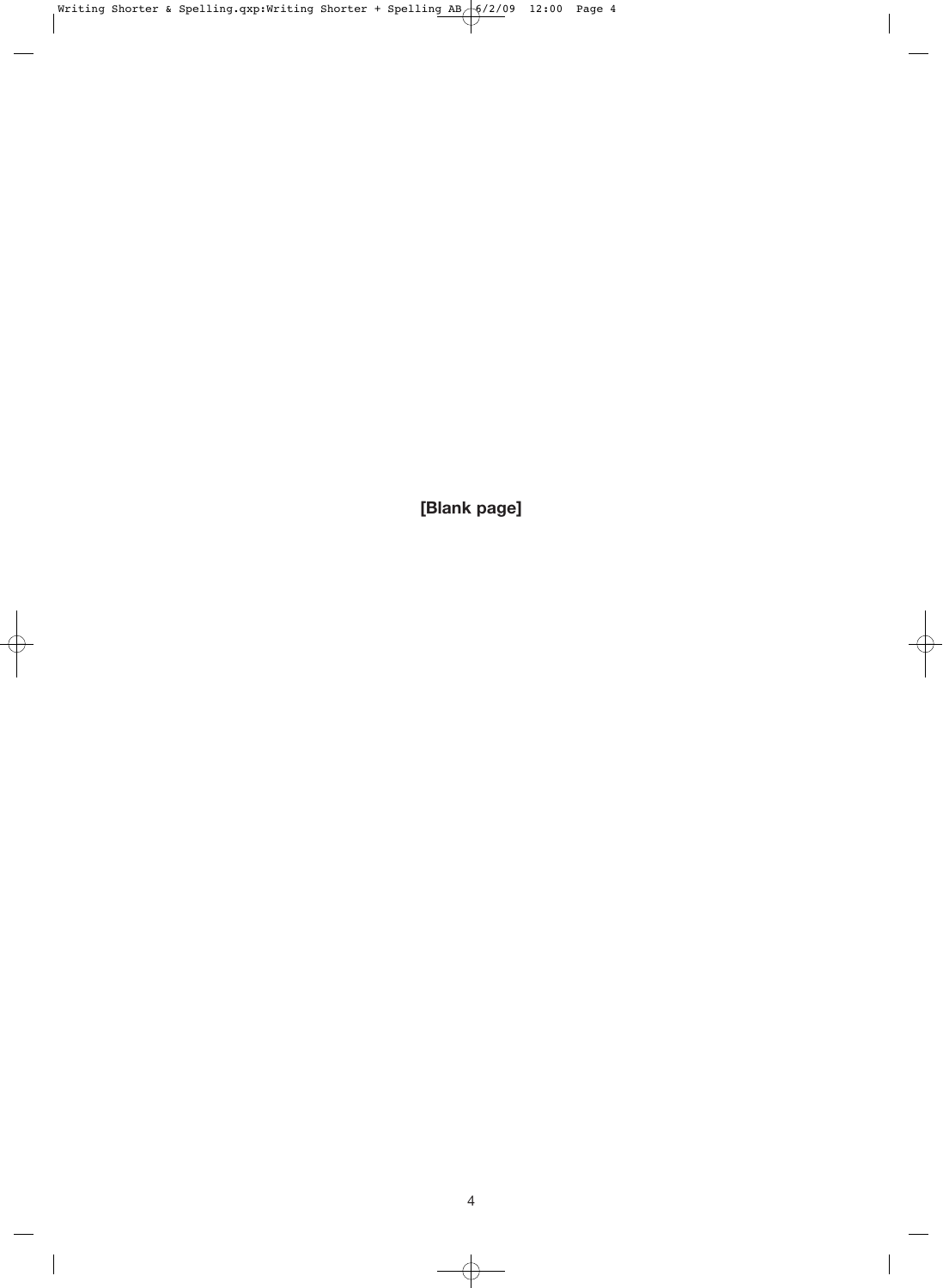**[Blank page]**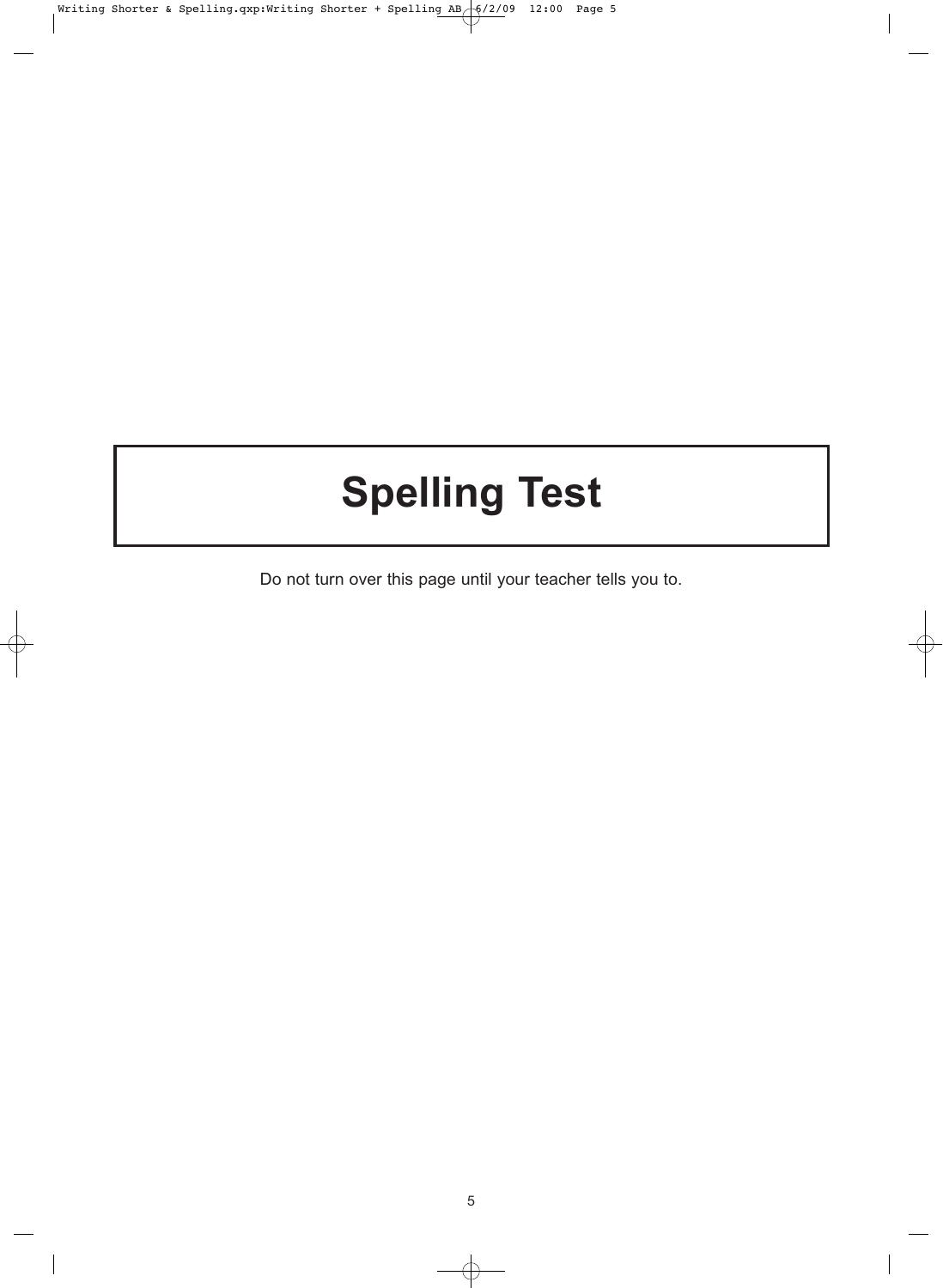### **Spelling Test**

Do not turn over this page until your teacher tells you to.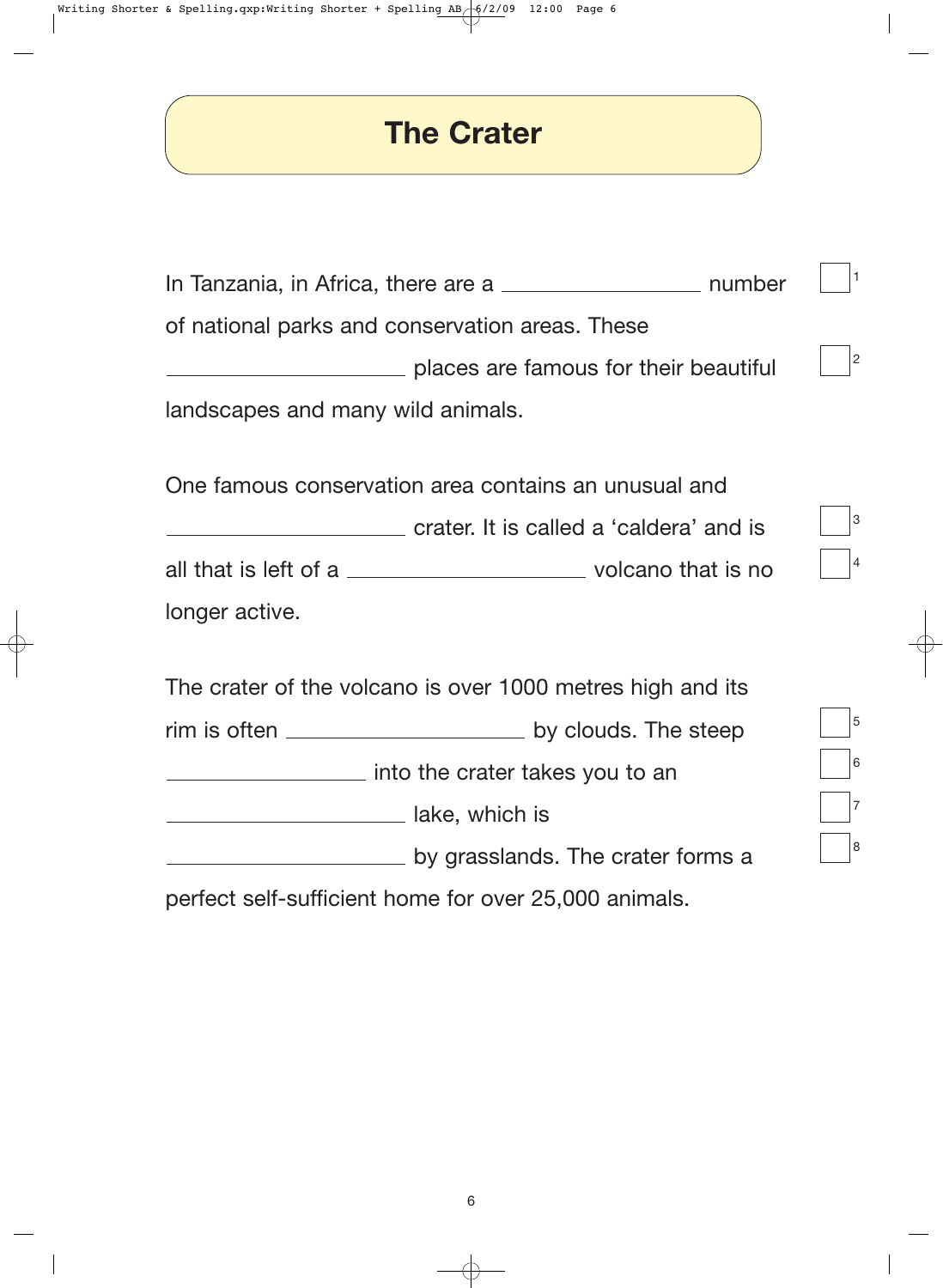### **The Crater**

In Tanzania, in Africa, there are a \_\_\_\_\_\_\_\_\_\_\_\_\_\_\_\_\_\_\_ number of national parks and conservation areas. These **places are famous for their beautiful** landscapes and many wild animals.

1

2

6

5

7

8

4

3

One famous conservation area contains an unusual and **crater.** It is called a 'caldera' and is all that is left of a \_\_\_\_\_\_\_\_\_\_\_\_\_\_\_\_\_\_\_\_\_\_\_\_\_\_ volcano that is no longer active.

The crater of the volcano is over 1000 metres high and its

rim is often by clouds. The steep

**EXECUTE:** into the crater takes you to an

**Lake**, which is

**EXECUTE:** by grasslands. The crater forms a

perfect self-sufficient home for over 25,000 animals.